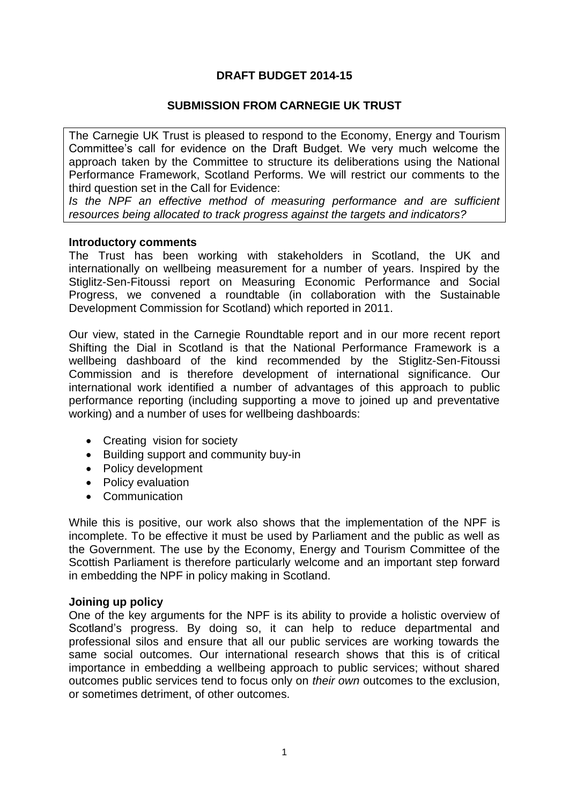# **DRAFT BUDGET 2014-15**

## **SUBMISSION FROM CARNEGIE UK TRUST**

The Carnegie UK Trust is pleased to respond to the Economy, Energy and Tourism Committee's call for evidence on the Draft Budget. We very much welcome the approach taken by the Committee to structure its deliberations using the National Performance Framework, Scotland Performs. We will restrict our comments to the third question set in the Call for Evidence:

*Is the NPF an effective method of measuring performance and are sufficient resources being allocated to track progress against the targets and indicators?* 

#### **Introductory comments**

The Trust has been working with stakeholders in Scotland, the UK and internationally on wellbeing measurement for a number of years. Inspired by the Stiglitz-Sen-Fitoussi report on Measuring Economic Performance and Social Progress, we convened a roundtable (in collaboration with the Sustainable Development Commission for Scotland) which reported in 2011.

Our view, stated in the Carnegie Roundtable report and in our more recent report Shifting the Dial in Scotland is that the National Performance Framework is a wellbeing dashboard of the kind recommended by the Stiglitz-Sen-Fitoussi Commission and is therefore development of international significance. Our international work identified a number of advantages of this approach to public performance reporting (including supporting a move to joined up and preventative working) and a number of uses for wellbeing dashboards:

- Creating vision for society
- Building support and community buy-in
- Policy development
- Policy evaluation
- Communication

While this is positive, our work also shows that the implementation of the NPF is incomplete. To be effective it must be used by Parliament and the public as well as the Government. The use by the Economy, Energy and Tourism Committee of the Scottish Parliament is therefore particularly welcome and an important step forward in embedding the NPF in policy making in Scotland.

#### **Joining up policy**

One of the key arguments for the NPF is its ability to provide a holistic overview of Scotland's progress. By doing so, it can help to reduce departmental and professional silos and ensure that all our public services are working towards the same social outcomes. Our international research shows that this is of critical importance in embedding a wellbeing approach to public services; without shared outcomes public services tend to focus only on *their own* outcomes to the exclusion, or sometimes detriment, of other outcomes.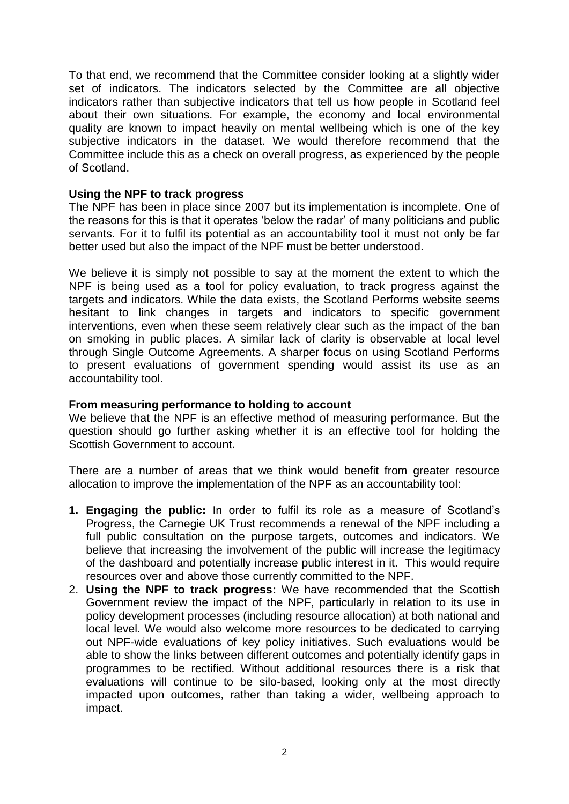To that end, we recommend that the Committee consider looking at a slightly wider set of indicators. The indicators selected by the Committee are all objective indicators rather than subjective indicators that tell us how people in Scotland feel about their own situations. For example, the economy and local environmental quality are known to impact heavily on mental wellbeing which is one of the key subjective indicators in the dataset. We would therefore recommend that the Committee include this as a check on overall progress, as experienced by the people of Scotland.

## **Using the NPF to track progress**

The NPF has been in place since 2007 but its implementation is incomplete. One of the reasons for this is that it operates 'below the radar' of many politicians and public servants. For it to fulfil its potential as an accountability tool it must not only be far better used but also the impact of the NPF must be better understood.

We believe it is simply not possible to say at the moment the extent to which the NPF is being used as a tool for policy evaluation, to track progress against the targets and indicators. While the data exists, the Scotland Performs website seems hesitant to link changes in targets and indicators to specific government interventions, even when these seem relatively clear such as the impact of the ban on smoking in public places. A similar lack of clarity is observable at local level through Single Outcome Agreements. A sharper focus on using Scotland Performs to present evaluations of government spending would assist its use as an accountability tool.

### **From measuring performance to holding to account**

We believe that the NPF is an effective method of measuring performance. But the question should go further asking whether it is an effective tool for holding the Scottish Government to account.

There are a number of areas that we think would benefit from greater resource allocation to improve the implementation of the NPF as an accountability tool:

- **1. Engaging the public:** In order to fulfil its role as a measure of Scotland's Progress, the Carnegie UK Trust recommends a renewal of the NPF including a full public consultation on the purpose targets, outcomes and indicators. We believe that increasing the involvement of the public will increase the legitimacy of the dashboard and potentially increase public interest in it. This would require resources over and above those currently committed to the NPF.
- 2. **Using the NPF to track progress:** We have recommended that the Scottish Government review the impact of the NPF, particularly in relation to its use in policy development processes (including resource allocation) at both national and local level. We would also welcome more resources to be dedicated to carrying out NPF-wide evaluations of key policy initiatives. Such evaluations would be able to show the links between different outcomes and potentially identify gaps in programmes to be rectified. Without additional resources there is a risk that evaluations will continue to be silo-based, looking only at the most directly impacted upon outcomes, rather than taking a wider, wellbeing approach to impact.